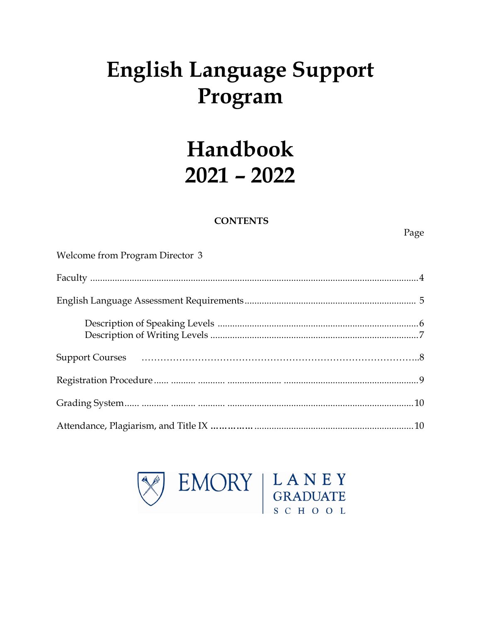# **English Language Support** Program

## Handbook  $2021 - 2022$

## **CONTENTS**

Page

| Welcome from Program Director 3 |  |
|---------------------------------|--|
|                                 |  |
|                                 |  |
|                                 |  |
|                                 |  |
|                                 |  |
|                                 |  |
|                                 |  |

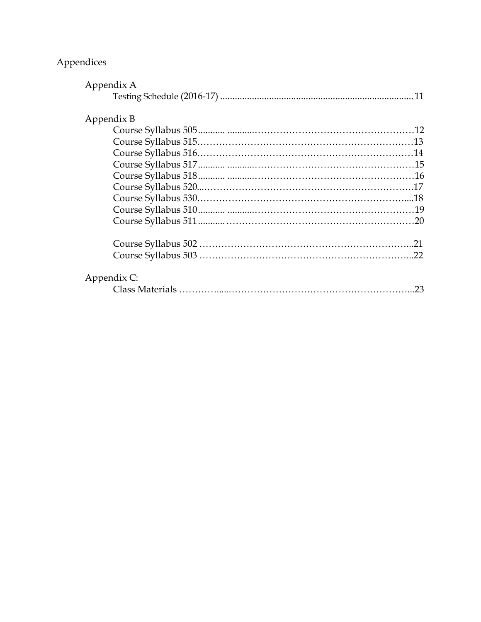## Appendices

| Appendix A  |    |
|-------------|----|
|             |    |
|             |    |
| Appendix B  |    |
|             |    |
|             |    |
|             |    |
|             |    |
|             |    |
|             |    |
|             |    |
|             |    |
|             |    |
|             |    |
|             |    |
| Appendix C: |    |
|             | 23 |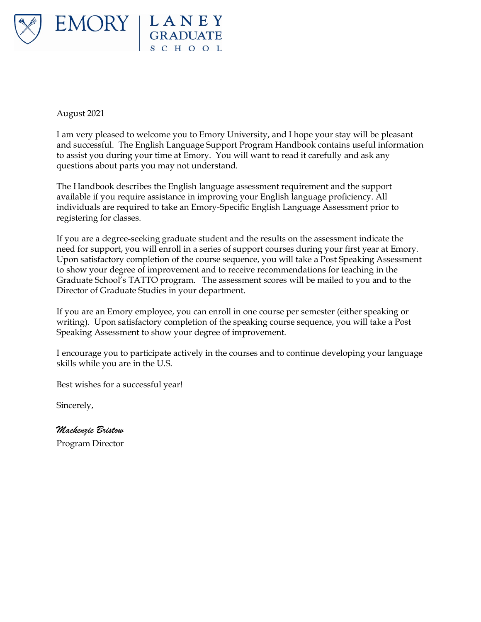

August 2021

I am very pleased to welcome you to Emory University, and I hope your stay will be pleasant and successful. The English Language Support Program Handbook contains useful information to assist you during your time at Emory. You will want to read it carefully and ask any questions about parts you may not understand.

The Handbook describes the English language assessment requirement and the support available if you require assistance in improving your English language proficiency. All individuals are required to take an Emory-Specific English Language Assessment prior to registering for classes.

If you are a degree-seeking graduate student and the results on the assessment indicate the need for support, you will enroll in a series of support courses during your first year at Emory. Upon satisfactory completion of the course sequence, you will take a Post Speaking Assessment to show your degree of improvement and to receive recommendations for teaching in the Graduate School's TATTO program. The assessment scores will be mailed to you and to the Director of Graduate Studies in your department.

If you are an Emory employee, you can enroll in one course per semester (either speaking or writing). Upon satisfactory completion of the speaking course sequence, you will take a Post Speaking Assessment to show your degree of improvement.

I encourage you to participate actively in the courses and to continue developing your language skills while you are in the U.S.

Best wishes for a successful year!

Sincerely,

*Mackenzie Bristow* Program Director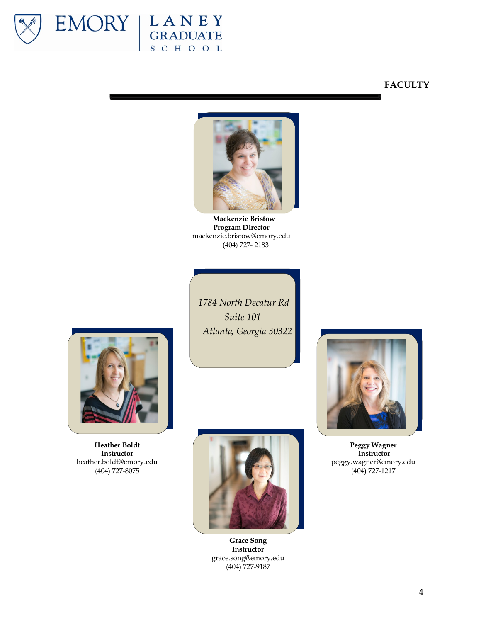

## EMORY | LANEY SCHOOL

## **FACULTY**



**Mackenzie Bristow Program Director** mackenzie.bristow@emory.edu (404) 727- 2183



**Heather Boldt Instructor** heather.boldt@emory.edu (404) 727-8075

*1784 North Decatur Rd Suite 101 Atlanta, Georgia 30322*



**Grace Song Instructor** grace.song@emory.edu (404) 727-9187



**Peggy Wagner Instructor** peggy.wagner@emory.edu (404) 727-1217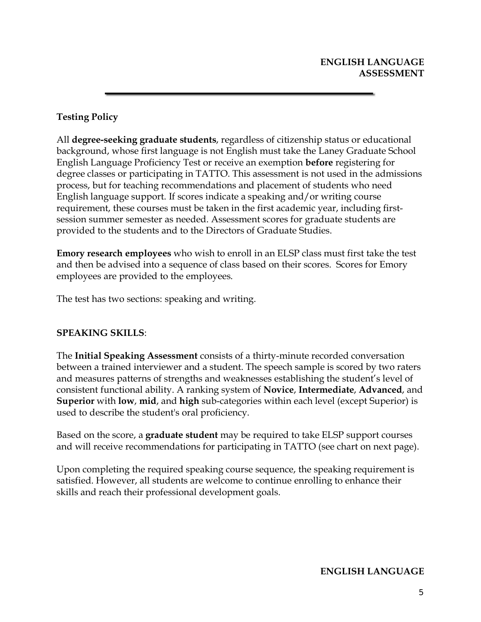## **Testing Policy**

All **degree-seeking graduate students**, regardless of citizenship status or educational background, whose first language is not English must take the Laney Graduate School English Language Proficiency Test or receive an exemption **before** registering for degree classes or participating in TATTO. This assessment is not used in the admissions process, but for teaching recommendations and placement of students who need English language support. If scores indicate a speaking and/or writing course requirement, these courses must be taken in the first academic year, including firstsession summer semester as needed. Assessment scores for graduate students are provided to the students and to the Directors of Graduate Studies.

**Emory research employees** who wish to enroll in an ELSP class must first take the test and then be advised into a sequence of class based on their scores. Scores for Emory employees are provided to the employees.

The test has two sections: speaking and writing.

## **SPEAKING SKILLS**:

The **Initial Speaking Assessment** consists of a thirty-minute recorded conversation between a trained interviewer and a student. The speech sample is scored by two raters and measures patterns of strengths and weaknesses establishing the student's level of consistent functional ability. A ranking system of **Novice**, **Intermediate**, **Advanced**, and **Superior** with **low**, **mid**, and **high** sub-categories within each level (except Superior) is used to describe the student's oral proficiency.

Based on the score, a **graduate student** may be required to take ELSP support courses and will receive recommendations for participating in TATTO (see chart on next page).

Upon completing the required speaking course sequence, the speaking requirement is satisfied. However, all students are welcome to continue enrolling to enhance their skills and reach their professional development goals.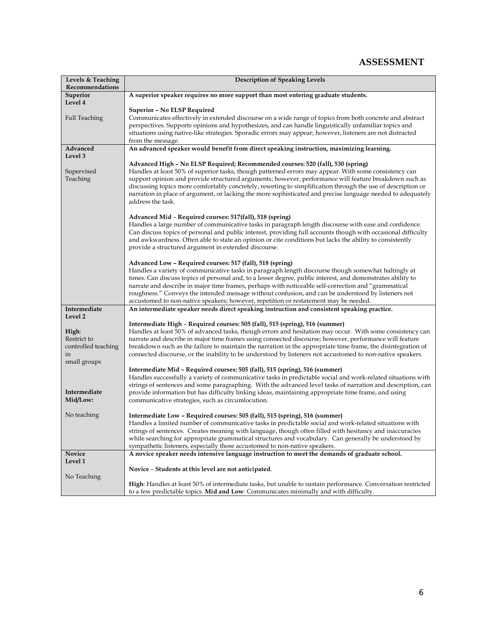## **ASSESSMENT**

| Levels & Teaching<br>Recommendations | <b>Description of Speaking Levels</b>                                                                                                                                                                                       |
|--------------------------------------|-----------------------------------------------------------------------------------------------------------------------------------------------------------------------------------------------------------------------------|
| Superior                             | A superior speaker requires no more support than most entering graduate students.                                                                                                                                           |
| Level 4                              |                                                                                                                                                                                                                             |
|                                      | <b>Superior - No ELSP Required</b>                                                                                                                                                                                          |
| <b>Full Teaching</b>                 | Communicates effectively in extended discourse on a wide range of topics from both concrete and abstract<br>perspectives. Supports opinions and hypothesizes, and can handle linguistically unfamiliar topics and           |
|                                      | situations using native-like strategies. Sporadic errors may appear; however, listeners are not distracted                                                                                                                  |
|                                      | from the message.                                                                                                                                                                                                           |
| Advanced                             | An advanced speaker would benefit from direct speaking instruction, maximizing learning.                                                                                                                                    |
| Level 3                              | Advanced High - No ELSP Required; Recommended courses: 520 (fall), 530 (spring)                                                                                                                                             |
| Supervised                           | Handles at least 50% of superior tasks, though patterned errors may appear. With some consistency can                                                                                                                       |
| Teaching                             | support opinion and provide structured arguments; however, performance will feature breakdown such as                                                                                                                       |
|                                      | discussing topics more comfortably concretely, resorting to simplification through the use of description or                                                                                                                |
|                                      | narration in place of argument, or lacking the more sophisticated and precise language needed to adequately                                                                                                                 |
|                                      | address the task.                                                                                                                                                                                                           |
|                                      | Advanced Mid - Required courses: 517(fall), 518 (spring)                                                                                                                                                                    |
|                                      | Handles a large number of communicative tasks in paragraph length discourse with ease and confidence.                                                                                                                       |
|                                      | Can discuss topics of personal and public interest, providing full accounts though with occasional difficulty                                                                                                               |
|                                      | and awkwardness. Often able to state an opinion or cite conditions but lacks the ability to consistently                                                                                                                    |
|                                      | provide a structured argument in extended discourse.                                                                                                                                                                        |
|                                      | Advanced Low - Required courses: 517 (fall), 518 (spring)                                                                                                                                                                   |
|                                      | Handles a variety of communicative tasks in paragraph length discourse though somewhat haltingly at                                                                                                                         |
|                                      | times. Can discuss topics of personal and, to a lesser degree, public interest, and demonstrates ability to                                                                                                                 |
|                                      | narrate and describe in major time frames, perhaps with noticeable self-correction and "grammatical                                                                                                                         |
|                                      | roughness." Conveys the intended message without confusion, and can be understood by listeners not<br>accustomed to non-native speakers; however, repetition or restatement may be needed.                                  |
| Intermediate                         | An intermediate speaker needs direct speaking instruction and consistent speaking practice.                                                                                                                                 |
| Level 2                              |                                                                                                                                                                                                                             |
|                                      | Intermediate High – Required courses: 505 (fall), 515 (spring), 516 (summer)                                                                                                                                                |
| High:<br>Restrict to                 | Handles at least 50% of advanced tasks, though errors and hesitation may occur. With some consistency can<br>narrate and describe in major time frames using connected discourse; however, performance will feature         |
| controlled teaching                  | breakdown such as the failure to maintain the narration in the appropriate time frame, the disintegration of                                                                                                                |
| in                                   | connected discourse, or the inability to be understood by listeners not accustomed to non-native speakers.                                                                                                                  |
| small groups                         |                                                                                                                                                                                                                             |
|                                      | Intermediate Mid - Required courses: 505 (fall), 515 (spring), 516 (summer)                                                                                                                                                 |
|                                      | Handles successfully a variety of communicative tasks in predictable social and work-related situations with<br>strings of sentences and some paragraphing. With the advanced level tasks of narration and description, can |
| Intermediate                         | provide information but has difficulty linking ideas, maintaining appropriate time frame, and using                                                                                                                         |
| Mid/Low:                             | communicative strategies, such as circumlocution.                                                                                                                                                                           |
|                                      |                                                                                                                                                                                                                             |
| No teaching                          | Intermediate Low - Required courses: 505 (fall), 515 (spring), 516 (summer)<br>Handles a limited number of communicative tasks in predictable social and work-related situations with                                       |
|                                      | strings of sentences. Creates meaning with language, though often filled with hesitancy and inaccuracies                                                                                                                    |
|                                      | while searching for appropriate grammatical structures and vocabulary. Can generally be understood by                                                                                                                       |
|                                      | sympathetic listeners, especially those accustomed to non-native speakers.                                                                                                                                                  |
| Novice                               | A novice speaker needs intensive language instruction to meet the demands of graduate school.                                                                                                                               |
| Level 1                              | Novice - Students at this level are not anticipated.                                                                                                                                                                        |
| No Teaching                          |                                                                                                                                                                                                                             |
|                                      | High: Handles at least 50% of intermediate tasks, but unable to sustain performance. Conversation restricted                                                                                                                |
|                                      | to a few predictable topics. Mid and Low: Communicates minimally and with difficulty.                                                                                                                                       |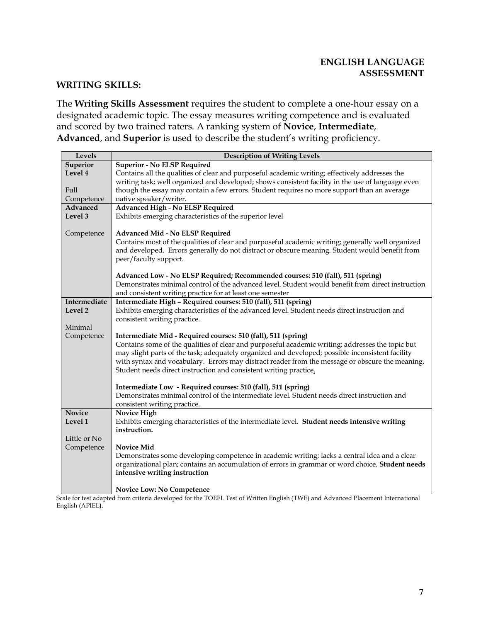## **WRITING SKILLS:**

The **Writing Skills Assessment** requires the student to complete a one-hour essay on a designated academic topic. The essay measures writing competence and is evaluated and scored by two trained raters. A ranking system of **Novice**, **Intermediate**, **Advanced**, and **Superior** is used to describe the student's writing proficiency.

| Levels        | <b>Description of Writing Levels</b>                                                              |
|---------------|---------------------------------------------------------------------------------------------------|
| Superior      | <b>Superior - No ELSP Required</b>                                                                |
| Level 4       | Contains all the qualities of clear and purposeful academic writing; effectively addresses the    |
|               | writing task; well organized and developed; shows consistent facility in the use of language even |
| Full          | though the essay may contain a few errors. Student requires no more support than an average       |
| Competence    | native speaker/writer.                                                                            |
| Advanced      | <b>Advanced High - No ELSP Required</b>                                                           |
| Level 3       | Exhibits emerging characteristics of the superior level                                           |
| Competence    | Advanced Mid - No ELSP Required                                                                   |
|               | Contains most of the qualities of clear and purposeful academic writing; generally well organized |
|               | and developed. Errors generally do not distract or obscure meaning. Student would benefit from    |
|               | peer/faculty support.                                                                             |
|               |                                                                                                   |
|               | Advanced Low - No ELSP Required; Recommended courses: 510 (fall), 511 (spring)                    |
|               | Demonstrates minimal control of the advanced level. Student would benefit from direct instruction |
|               | and consistent writing practice for at least one semester                                         |
| Intermediate  | Intermediate High - Required courses: 510 (fall), 511 (spring)                                    |
| Level 2       | Exhibits emerging characteristics of the advanced level. Student needs direct instruction and     |
|               | consistent writing practice.                                                                      |
| Minimal       |                                                                                                   |
| Competence    | Intermediate Mid - Required courses: 510 (fall), 511 (spring)                                     |
|               | Contains some of the qualities of clear and purposeful academic writing; addresses the topic but  |
|               | may slight parts of the task; adequately organized and developed; possible inconsistent facility  |
|               | with syntax and vocabulary. Errors may distract reader from the message or obscure the meaning.   |
|               | Student needs direct instruction and consistent writing practice.                                 |
|               | Intermediate Low - Required courses: 510 (fall), 511 (spring)                                     |
|               | Demonstrates minimal control of the intermediate level. Student needs direct instruction and      |
|               | consistent writing practice.                                                                      |
| <b>Novice</b> | Novice High                                                                                       |
| Level 1       | Exhibits emerging characteristics of the intermediate level. Student needs intensive writing      |
|               | instruction.                                                                                      |
| Little or No  |                                                                                                   |
| Competence    | <b>Novice Mid</b>                                                                                 |
|               | Demonstrates some developing competence in academic writing; lacks a central idea and a clear     |
|               | organizational plan; contains an accumulation of errors in grammar or word choice. Student needs  |
|               | intensive writing instruction                                                                     |
|               |                                                                                                   |
|               | <b>Novice Low: No Competence</b>                                                                  |

Scale for test adapted from criteria developed for the TOEFL Test of Written English (TWE) and Advanced Placement International English (APIEL**).**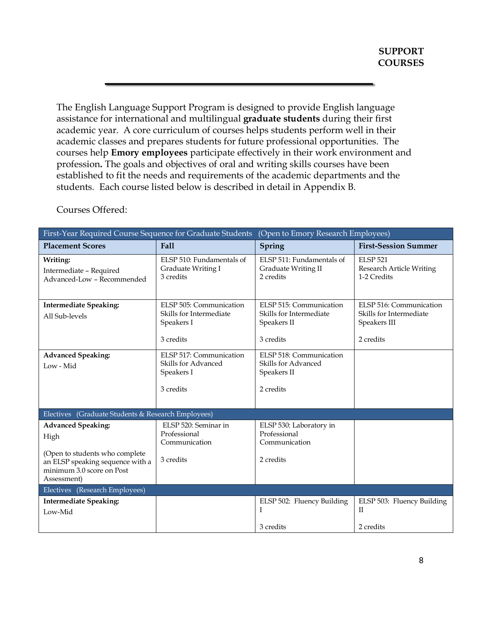The English Language Support Program is designed to provide English language assistance for international and multilingual **graduate students** during their first academic year. A core curriculum of courses helps students perform well in their academic classes and prepares students for future professional opportunities. The courses help **Emory employees** participate effectively in their work environment and profession**.** The goals and objectives of oral and writing skills courses have been established to fit the needs and requirements of the academic departments and the students. Each course listed below is described in detail in Appendix B.

| First-Year Required Course Sequence for Graduate Students<br>(Open to Emory Research Employees)                |                                                              |                                                                      |                                                            |
|----------------------------------------------------------------------------------------------------------------|--------------------------------------------------------------|----------------------------------------------------------------------|------------------------------------------------------------|
| <b>Placement Scores</b>                                                                                        | Fall                                                         | Spring                                                               | <b>First-Session Summer</b>                                |
| Writing:<br>Intermediate - Required<br>Advanced-Low - Recommended                                              | ELSP 510: Fundamentals of<br>Graduate Writing I<br>3 credits | ELSP 511: Fundamentals of<br><b>Graduate Writing II</b><br>2 credits | <b>ELSP 521</b><br>Research Article Writing<br>1-2 Credits |
| <b>Intermediate Speaking:</b>                                                                                  | ELSP 505: Communication                                      | ELSP 515: Communication                                              | ELSP 516: Communication                                    |
| All Sub-levels                                                                                                 | Skills for Intermediate<br>Speakers I                        | Skills for Intermediate<br>Speakers II                               | Skills for Intermediate<br>Speakers III                    |
|                                                                                                                | 3 credits                                                    | 3 credits                                                            | 2 credits                                                  |
| <b>Advanced Speaking:</b>                                                                                      | ELSP 517: Communication                                      | ELSP 518: Communication                                              |                                                            |
| Low - Mid                                                                                                      | Skills for Advanced<br>Speakers I                            | Skills for Advanced<br>Speakers II                                   |                                                            |
|                                                                                                                | 3 credits                                                    | 2 credits                                                            |                                                            |
| Electives (Graduate Students & Research Employees)                                                             |                                                              |                                                                      |                                                            |
| <b>Advanced Speaking:</b>                                                                                      | ELSP 520: Seminar in                                         | ELSP 530: Laboratory in                                              |                                                            |
| High                                                                                                           | Professional<br>Communication                                | Professional<br>Communication                                        |                                                            |
| (Open to students who complete<br>an ELSP speaking sequence with a<br>minimum 3.0 score on Post<br>Assessment) | 3 credits                                                    | 2 credits                                                            |                                                            |
| Electives (Research Employees)                                                                                 |                                                              |                                                                      |                                                            |
| <b>Intermediate Speaking:</b>                                                                                  |                                                              | ELSP 502: Fluency Building                                           | ELSP 503: Fluency Building                                 |
| Low-Mid                                                                                                        |                                                              | Ι                                                                    | $\mathbf{H}$                                               |
|                                                                                                                |                                                              | 3 credits                                                            | 2 credits                                                  |

Courses Offered: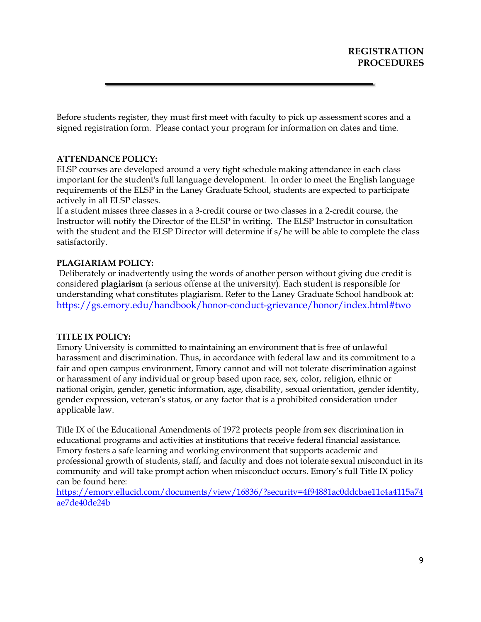Before students register, they must first meet with faculty to pick up assessment scores and a signed registration form. Please contact your program for information on dates and time.

## **ATTENDANCE POLICY:**

ELSP courses are developed around a very tight schedule making attendance in each class important for the student's full language development. In order to meet the English language requirements of the ELSP in the Laney Graduate School, students are expected to participate actively in all ELSP classes.

If a student misses three classes in a 3-credit course or two classes in a 2-credit course, the Instructor will notify the Director of the ELSP in writing. The ELSP Instructor in consultation with the student and the ELSP Director will determine if s/he will be able to complete the class satisfactorily.

## **PLAGIARIAM POLICY:**

Deliberately or inadvertently using the words of another person without giving due credit is considered **plagiarism** (a serious offense at the university). Each student is responsible for understanding what constitutes plagiarism. Refer to the Laney Graduate School handbook at: https://gs.emory.edu/handbook/honor-conduct-grievance/honor/index.html#two

## **TITLE IX POLICY:**

Emory University is committed to maintaining an environment that is free of unlawful harassment and discrimination. Thus, in accordance with federal law and its commitment to a fair and open campus environment, Emory cannot and will not tolerate discrimination against or harassment of any individual or group based upon race, sex, color, religion, ethnic or national origin, gender, genetic information, age, disability, sexual orientation, gender identity, gender expression, veteran's status, or any factor that is a prohibited consideration under applicable law.

Title IX of the Educational Amendments of 1972 protects people from sex discrimination in educational programs and activities at institutions that receive federal financial assistance. Emory fosters a safe learning and working environment that supports academic and professional growth of students, staff, and faculty and does not tolerate sexual misconduct in its community and will take prompt action when misconduct occurs. Emory's full Title IX policy can be found here:

https://emory.ellucid.com/documents/view/16836/?security=4f94881ac0ddcbae11c4a4115a74 ae7de40de24b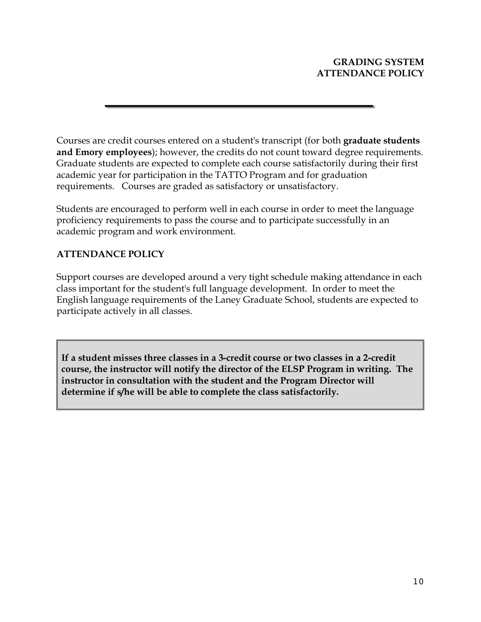Courses are credit courses entered on a student's transcript (for both **graduate students and Emory employees**); however, the credits do not count toward degree requirements. Graduate students are expected to complete each course satisfactorily during their first academic year for participation in the TATTO Program and for graduation requirements. Courses are graded as satisfactory or unsatisfactory.

Students are encouraged to perform well in each course in order to meet the language proficiency requirements to pass the course and to participate successfully in an academic program and work environment.

## **ATTENDANCE POLICY**

Support courses are developed around a very tight schedule making attendance in each class important for the student's full language development. In order to meet the English language requirements of the Laney Graduate School, students are expected to participate actively in all classes.

**If a student misses three classes in a 3-credit course or two classes in a 2-credit course, the instructor will notify the director of the ELSP Program in writing. The instructor in consultation with the student and the Program Director will determine if s/he will be able to complete the class satisfactorily.**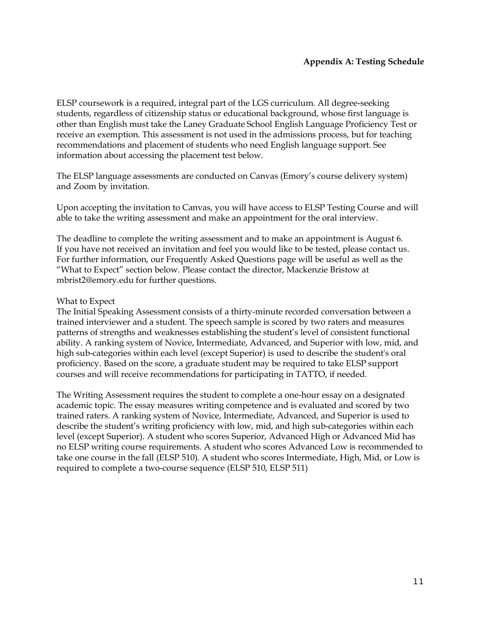ELSP coursework is a required, integral part of the LGS curriculum. All degree-seeking students, regardless of citizenship status or educational background, whose first language is other than English must take the Laney Graduate School English Language Proficiency Test or receive an exemption. This assessment is not used in the admissions process, but for teaching recommendations and placement of students who need English language support. See information about accessing the placement test below.

The ELSP language assessments are conducted on Canvas (Emory's course delivery system) and Zoom by invitation.

Upon accepting the invitation to Canvas, you will have access to ELSP Testing Course and will able to take the writing assessment and make an appointment for the oral interview.

The deadline to complete the writing assessment and to make an appointment is August 6. If you have not received an invitation and feel you would like to be tested, please contact us. For further information, our Frequently Asked Questions page will be useful as well as the "What to Expect" section below. Please contact the director, Mackenzie Bristow at mbrist2@emory.edu for further questions.

## What to Expect

The Initial Speaking Assessment consists of a thirty-minute recorded conversation between a trained interviewer and a student. The speech sample is scored by two raters and measures patterns of strengths and weaknesses establishing the student's level of consistent functional ability. A ranking system of Novice, Intermediate, Advanced, and Superior with low, mid, and high sub-categories within each level (except Superior) is used to describe the student's oral proficiency. Based on the score, a graduate student may be required to take ELSP support courses and will receive recommendations for participating in TATTO, if needed.

The Writing Assessment requires the student to complete a one-hour essay on a designated academic topic. The essay measures writing competence and is evaluated and scored by two trained raters. A ranking system of Novice, Intermediate, Advanced, and Superior is used to describe the student's writing proficiency with low, mid, and high sub-categories within each level (except Superior). A student who scores Superior, Advanced High or Advanced Mid has no ELSP writing course requirements. A student who scores Advanced Low is recommended to take one course in the fall (ELSP 510). A student who scores Intermediate, High, Mid, or Low is required to complete a two-course sequence (ELSP 510, ELSP 511)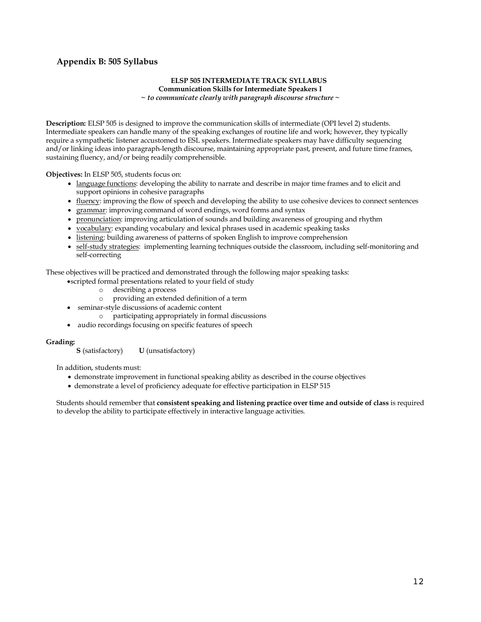## **Appendix B: 505 Syllabus**

#### **ELSP 505 INTERMEDIATE TRACK SYLLABUS Communication Skills for Intermediate Speakers I** *~ to communicate clearly with paragraph discourse structure ~*

**Description:** ELSP 505 is designed to improve the communication skills of intermediate (OPI level 2) students. Intermediate speakers can handle many of the speaking exchanges of routine life and work; however, they typically require a sympathetic listener accustomed to ESL speakers. Intermediate speakers may have difficulty sequencing and/or linking ideas into paragraph-length discourse, maintaining appropriate past, present, and future time frames,

**Objectives:** In ELSP 505, students focus on:

sustaining fluency, and/or being readily comprehensible.

- language functions: developing the ability to narrate and describe in major time frames and to elicit and support opinions in cohesive paragraphs
- fluency: improving the flow of speech and developing the ability to use cohesive devices to connect sentences
- grammar: improving command of word endings, word forms and syntax
- pronunciation: improving articulation of sounds and building awareness of grouping and rhythm
- vocabulary: expanding vocabulary and lexical phrases used in academic speaking tasks
- listening: building awareness of patterns of spoken English to improve comprehension
- self-study strategies: implementing learning techniques outside the classroom, including self-monitoring and self-correcting

These objectives will be practiced and demonstrated through the following major speaking tasks:

- •scripted formal presentations related to your field of study
	- o describing a process
	- o providing an extended definition of a term
	- seminar-style discussions of academic content
		- o participating appropriately in formal discussions
- audio recordings focusing on specific features of speech

Grading:<br>**S** (satisfactory) **U** (unsatisfactory)

In addition, students must:

- demonstrate improvement in functional speaking ability as described in the course objectives
- demonstrate a level of proficiency adequate for effective participation in ELSP 515

Students should remember that **consistent speaking and listening practice over time and outside of class** is required to develop the ability to participate effectively in interactive language activities.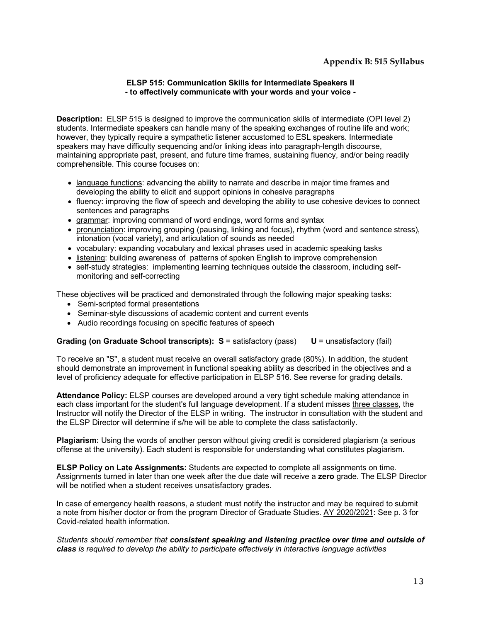## **Appendix B: 515 Syllabus**

### **ELSP 515: Communication Skills for Intermediate Speakers II - to effectively communicate with your words and your voice -**

**Description:** ELSP 515 is designed to improve the communication skills of intermediate (OPI level 2) students. Intermediate speakers can handle many of the speaking exchanges of routine life and work; however, they typically require a sympathetic listener accustomed to ESL speakers. Intermediate speakers may have difficulty sequencing and/or linking ideas into paragraph-length discourse, maintaining appropriate past, present, and future time frames, sustaining fluency, and/or being readily comprehensible. This course focuses on:

- language functions: advancing the ability to narrate and describe in major time frames and developing the ability to elicit and support opinions in cohesive paragraphs
- fluency: improving the flow of speech and developing the ability to use cohesive devices to connect sentences and paragraphs
- grammar: improving command of word endings, word forms and syntax
- pronunciation: improving grouping (pausing, linking and focus), rhythm (word and sentence stress), intonation (vocal variety), and articulation of sounds as needed
- vocabulary: expanding vocabulary and lexical phrases used in academic speaking tasks
- listening: building awareness of patterns of spoken English to improve comprehension
- self-study strategies: implementing learning techniques outside the classroom, including selfmonitoring and self-correcting

These objectives will be practiced and demonstrated through the following major speaking tasks:

- Semi-scripted formal presentations
- Seminar-style discussions of academic content and current events
- Audio recordings focusing on specific features of speech

### **Grading (on Graduate School transcripts): S = satisfactory (pass) U = unsatisfactory (fail)**

To receive an "S", a student must receive an overall satisfactory grade (80%). In addition, the student should demonstrate an improvement in functional speaking ability as described in the objectives and a level of proficiency adequate for effective participation in ELSP 516. See reverse for grading details.

**Attendance Policy:** ELSP courses are developed around a very tight schedule making attendance in each class important for the student's full language development. If a student misses three classes, the Instructor will notify the Director of the ELSP in writing. The instructor in consultation with the student and the ELSP Director will determine if s/he will be able to complete the class satisfactorily.

**Plagiarism:** Using the words of another person without giving credit is considered plagiarism (a serious offense at the university). Each student is responsible for understanding what constitutes plagiarism.

**ELSP Policy on Late Assignments:** Students are expected to complete all assignments on time. Assignments turned in later than one week after the due date will receive a **zero** grade. The ELSP Director will be notified when a student receives unsatisfactory grades.

In case of emergency health reasons, a student must notify the instructor and may be required to submit a note from his/her doctor or from the program Director of Graduate Studies. AY 2020/2021: See p. 3 for Covid-related health information.

*Students should remember that consistent speaking and listening practice over time and outside of class is required to develop the ability to participate effectively in interactive language activities*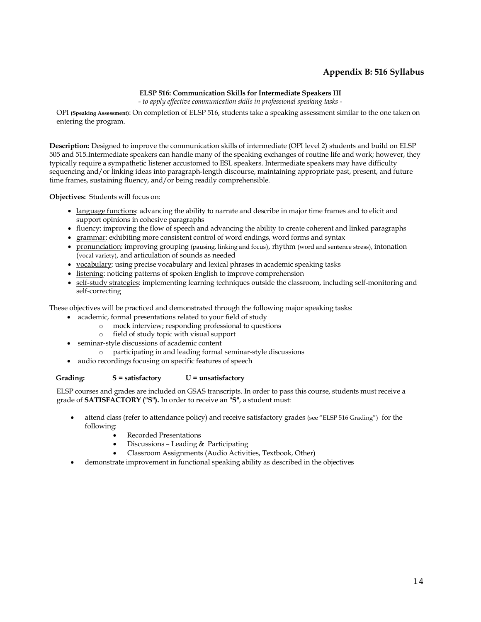## **Appendix B: 516 Syllabus**

#### **ELSP 516: Communication Skills for Intermediate Speakers III**

*- to apply effective communication skills in professional speaking tasks -*

OPI **(Speaking Assessment)**: On completion of ELSP 516, students take a speaking assessment similar to the one taken on entering the program.

**Description:** Designed to improve the communication skills of intermediate (OPI level 2) students and build on ELSP 505 and 515.Intermediate speakers can handle many of the speaking exchanges of routine life and work; however, they typically require a sympathetic listener accustomed to ESL speakers. Intermediate speakers may have difficulty sequencing and/or linking ideas into paragraph-length discourse, maintaining appropriate past, present, and future time frames, sustaining fluency, and/or being readily comprehensible.

**Objectives:** Students will focus on:

- language functions: advancing the ability to narrate and describe in major time frames and to elicit and support opinions in cohesive paragraphs
- fluency: improving the flow of speech and advancing the ability to create coherent and linked paragraphs
- grammar: exhibiting more consistent control of word endings, word forms and syntax
- pronunciation: improving grouping (pausing, linking and focus), rhythm (word and sentence stress), intonation (vocal variety), and articulation of sounds as needed
- vocabulary: using precise vocabulary and lexical phrases in academic speaking tasks
- listening: noticing patterns of spoken English to improve comprehension
- self-study strategies: implementing learning techniques outside the classroom, including self-monitoring and self-correcting

These objectives will be practiced and demonstrated through the following major speaking tasks:

- academic, formal presentations related to your field of study
	- o mock interview; responding professional to questions
	- o field of study topic with visual support
- seminar-style discussions of academic content
	- o participating in and leading formal seminar-style discussions
- audio recordings focusing on specific features of speech

#### **Grading: S = satisfactory U = unsatisfactory**

ELSP courses and grades are included on GSAS transcripts. In order to pass this course, students must receive a grade of **SATISFACTORY ("S").** In order to receive an **"S"**, a student must:

- attend class (refer to attendance policy) and receive satisfactory grades (see "ELSP 516 Grading") for the following:
	- Recorded Presentations
	- Discussions Leading & Participating
	- Classroom Assignments (Audio Activities, Textbook, Other)
- demonstrate improvement in functional speaking ability as described in the objectives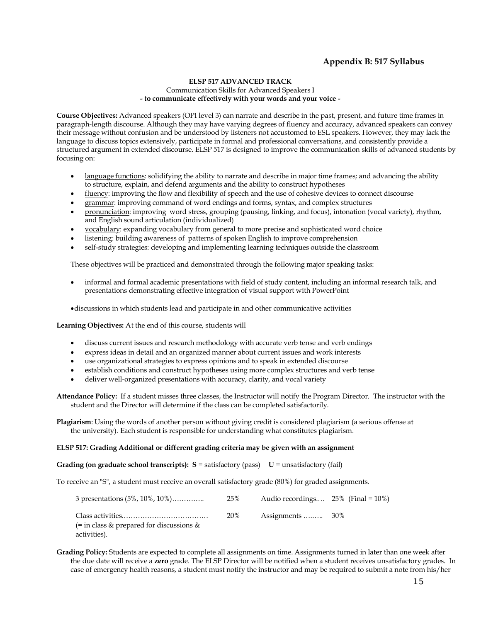## **Appendix B: 517 Syllabus**

#### **ELSP 517 ADVANCED TRACK**  Communication Skills for Advanced Speakers I **- to communicate effectively with your words and your voice -**

**Course Objectives:** Advanced speakers (OPI level 3) can narrate and describe in the past, present, and future time frames in paragraph-length discourse. Although they may have varying degrees of fluency and accuracy, advanced speakers can convey their message without confusion and be understood by listeners not accustomed to ESL speakers. However, they may lack the language to discuss topics extensively, participate in formal and professional conversations, and consistently provide a structured argument in extended discourse. ELSP 517 is designed to improve the communication skills of advanced students by focusing on:

- language functions: solidifying the ability to narrate and describe in major time frames; and advancing the ability to structure, explain, and defend arguments and the ability to construct hypotheses
- fluency: improving the flow and flexibility of speech and the use of cohesive devices to connect discourse
- grammar: improving command of word endings and forms, syntax, and complex structures
- pronunciation: improving word stress, grouping (pausing, linking, and focus), intonation (vocal variety), rhythm, and English sound articulation (individualized)
- vocabulary: expanding vocabulary from general to more precise and sophisticated word choice
- listening: building awareness of patterns of spoken English to improve comprehension
- self-study strategies: developing and implementing learning techniques outside the classroom

These objectives will be practiced and demonstrated through the following major speaking tasks:

- informal and formal academic presentations with field of study content, including an informal research talk, and presentations demonstrating effective integration of visual support with PowerPoint
- •discussions in which students lead and participate in and other communicative activities

**Learning Objectives:** At the end of this course, students will

- discuss current issues and research methodology with accurate verb tense and verb endings
- express ideas in detail and an organized manner about current issues and work interests
- use organizational strategies to express opinions and to speak in extended discourse
- establish conditions and construct hypotheses using more complex structures and verb tense
- deliver well-organized presentations with accuracy, clarity, and vocal variety

**Attendance Policy:** If a student misses three classes, the Instructor will notify the Program Director. The instructor with the student and the Director will determine if the class can be completed satisfactorily.

**Plagiarism**: Using the words of another person without giving credit is considered plagiarism (a serious offense at the university). Each student is responsible for understanding what constitutes plagiarism.

#### **ELSP 517: Grading Additional or different grading criteria may be given with an assignment**

**Grading (on graduate school transcripts): S = satisfactory (pass)**  $U =$  **unsatisfactory (fail)** 

To receive an "S", a student must receive an overall satisfactory grade (80%) for graded assignments.

| 3 presentations (5%, 10%, 10%)                           | 25% | Audio recordings $25\%$ (Final = 10%) |  |
|----------------------------------------------------------|-----|---------------------------------------|--|
| (= in class & prepared for discussions &<br>activities). | 20% |                                       |  |

**Grading Policy:** Students are expected to complete all assignments on time. Assignments turned in later than one week after the due date will receive a **zero** grade. The ELSP Director will be notified when a student receives unsatisfactory grades. In case of emergency health reasons, a student must notify the instructor and may be required to submit a note from his/her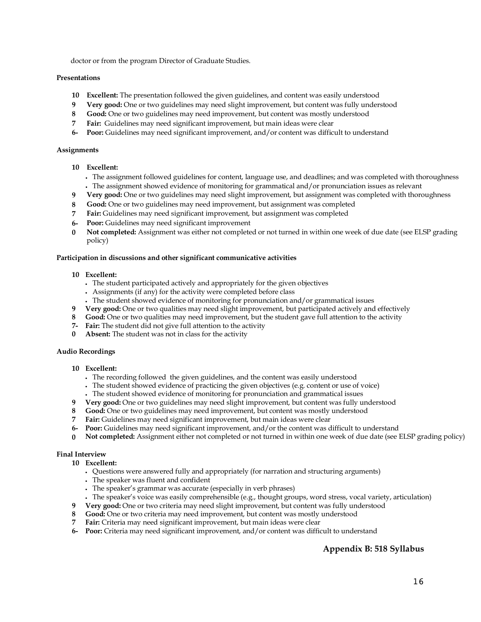doctor or from the program Director of Graduate Studies.

#### **Presentations**

- **10 Excellent:** The presentation followed the given guidelines, and content was easily understood
- **9 Very good:** One or two guidelines may need slight improvement, but content was fully understood
- **8 Good:** One or two guidelines may need improvement, but content was mostly understood
- **7 Fair:** Guidelines may need significant improvement, but main ideas were clear
- **6- Poor:** Guidelines may need significant improvement, and/or content was difficult to understand

#### **Assignments**

- **10 Excellent:**
	- The assignment followed guidelines for content, language use, and deadlines; and was completed with thoroughness • The assignment showed evidence of monitoring for grammatical and/or pronunciation issues as relevant
- **9 Very good:** One or two guidelines may need slight improvement, but assignment was completed with thoroughness
- **8 Good:** One or two guidelines may need improvement, but assignment was completed
- **7 Fair:** Guidelines may need significant improvement, but assignment was completed
- **6- Poor:** Guidelines may need significant improvement
- **0 Not completed:** Assignment was either not completed or not turned in within one week of due date (see ELSP grading policy)

#### **Participation in discussions and other significant communicative activities**

#### **10 Excellent:**

- The student participated actively and appropriately for the given objectives
- Assignments (if any) for the activity were completed before class
- The student showed evidence of monitoring for pronunciation and/or grammatical issues
- **9 Very good:** One or two qualities may need slight improvement, but participated actively and effectively
- **8 Good:** One or two qualities may need improvement, but the student gave full attention to the activity
- **7- Fair:** The student did not give full attention to the activity
- **0 Absent:** The student was not in class for the activity

#### **Audio Recordings**

- **10 Excellent:**
	- The recording followed the given guidelines, and the content was easily understood
	- The student showed evidence of practicing the given objectives (e.g. content or use of voice)
	- The student showed evidence of monitoring for pronunciation and grammatical issues
- **9 Very good:** One or two guidelines may need slight improvement, but content was fully understood
- **8 Good:** One or two guidelines may need improvement, but content was mostly understood
- **7 Fair:** Guidelines may need significant improvement, but main ideas were clear
- **6- Poor:** Guidelines may need significant improvement, and/or the content was difficult to understand
- **0 Not completed:** Assignment either not completed or not turned in within one week of due date (see ELSP grading policy)

#### **Final Interview**

- **10 Excellent:**
	- Questions were answered fully and appropriately (for narration and structuring arguments)
	- The speaker was fluent and confident
	- The speaker's grammar was accurate (especially in verb phrases)
	- The speaker's voice was easily comprehensible (e.g., thought groups, word stress, vocal variety, articulation)
- **9 Very good:** One or two criteria may need slight improvement, but content was fully understood
- **8 Good:** One or two criteria may need improvement, but content was mostly understood
- **7 Fair:** Criteria may need significant improvement, but main ideas were clear
- **6- Poor:** Criteria may need significant improvement, and/or content was difficult to understand

## **Appendix B: 518 Syllabus**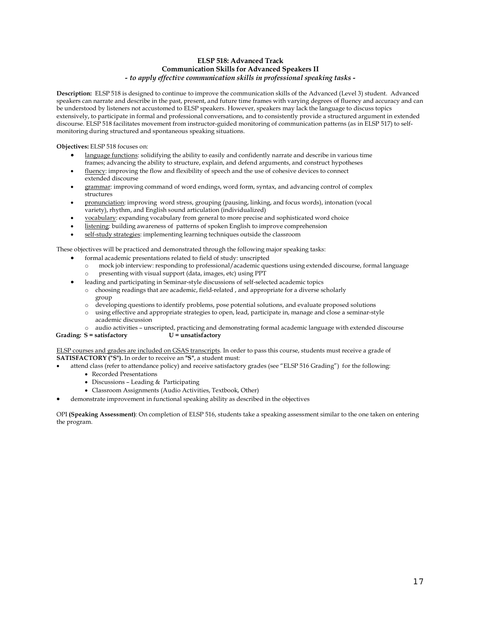#### **ELSP 518: Advanced Track Communication Skills for Advanced Speakers II** *- to apply effective communication skills in professional speaking tasks -*

**Description:** ELSP 518 is designed to continue to improve the communication skills of the Advanced (Level 3) student. Advanced speakers can narrate and describe in the past, present, and future time frames with varying degrees of fluency and accuracy and can be understood by listeners not accustomed to ELSP speakers. However, speakers may lack the language to discuss topics extensively, to participate in formal and professional conversations, and to consistently provide a structured argument in extended discourse. ELSP 518 facilitates movement from instructor-guided monitoring of communication patterns (as in ELSP 517) to selfmonitoring during structured and spontaneous speaking situations.

**Objectives:** ELSP 518 focuses on:

- language functions: solidifying the ability to easily and confidently narrate and describe in various time frames; advancing the ability to structure, explain, and defend arguments, and construct hypotheses
- fluency: improving the flow and flexibility of speech and the use of cohesive devices to connect extended discourse
- grammar: improving command of word endings, word form, syntax, and advancing control of complex structures
- pronunciation: improving word stress, grouping (pausing, linking, and focus words), intonation (vocal variety), rhythm, and English sound articulation (individualized)
- vocabulary: expanding vocabulary from general to more precise and sophisticated word choice
- listening: building awareness of patterns of spoken English to improve comprehension
- self-study strategies: implementing learning techniques outside the classroom

These objectives will be practiced and demonstrated through the following major speaking tasks:

- formal academic presentations related to field of study: unscripted
	- o mock job interview: responding to professional/academic questions using extended discourse, formal language o presenting with visual support (data, images, etc) using PPT
	- leading and participating in Seminar-style discussions of self-selected academic topics
	- o choosing readings that are academic, field-related , and appropriate for a diverse scholarly group
	- o developing questions to identify problems, pose potential solutions, and evaluate proposed solutions
	- o using effective and appropriate strategies to open, lead, participate in, manage and close a seminar-style academic discussion
	- o audio activities unscripted, practicing and demonstrating formal academic language with extended discourse

**Grading: S = satisfactory U = unsatisfactory** 

ELSP courses and grades are included on GSAS transcripts. In order to pass this course, students must receive a grade of **SATISFACTORY ("S").** In order to receive an **"S"**, a student must:

- attend class (refer to attendance policy) and receive satisfactory grades (see "ELSP 516 Grading") for the following:
	- Recorded Presentations
	- Discussions Leading & Participating
	- Classroom Assignments (Audio Activities, Textbook, Other)
	- demonstrate improvement in functional speaking ability as described in the objectives

OPI **(Speaking Assessment)**: On completion of ELSP 516, students take a speaking assessment similar to the one taken on entering the program.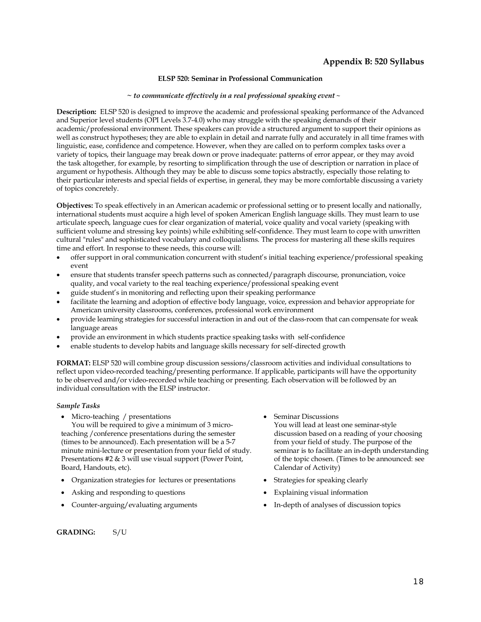#### **ELSP 520: Seminar in Professional Communication**

#### *~ to communicate effectively in a real professional speaking event ~*

**Description:** ELSP 520 is designed to improve the academic and professional speaking performance of the Advanced and Superior level students (OPI Levels 3.7-4.0) who may struggle with the speaking demands of their academic/professional environment. These speakers can provide a structured argument to support their opinions as well as construct hypotheses; they are able to explain in detail and narrate fully and accurately in all time frames with linguistic, ease, confidence and competence. However, when they are called on to perform complex tasks over a variety of topics, their language may break down or prove inadequate: patterns of error appear, or they may avoid the task altogether, for example, by resorting to simplification through the use of description or narration in place of argument or hypothesis. Although they may be able to discuss some topics abstractly, especially those relating to their particular interests and special fields of expertise, in general, they may be more comfortable discussing a variety of topics concretely.

**Objectives:** To speak effectively in an American academic or professional setting or to present locally and nationally, international students must acquire a high level of spoken American English language skills. They must learn to use articulate speech, language cues for clear organization of material, voice quality and vocal variety (speaking with sufficient volume and stressing key points) while exhibiting self-confidence. They must learn to cope with unwritten cultural "rules" and sophisticated vocabulary and colloquialisms. The process for mastering all these skills requires time and effort. In response to these needs, this course will:

- offer support in oral communication concurrent with student's initial teaching experience/professional speaking event
- ensure that students transfer speech patterns such as connected/paragraph discourse, pronunciation, voice quality, and vocal variety to the real teaching experience/professional speaking event
- guide student's in monitoring and reflecting upon their speaking performance
- facilitate the learning and adoption of effective body language, voice, expression and behavior appropriate for American university classrooms, conferences, professional work environment
- provide learning strategies for successful interaction in and out of the class-room that can compensate for weak language areas
- provide an environment in which students practice speaking tasks with self-confidence
- enable students to develop habits and language skills necessary for self-directed growth

**FORMAT:** ELSP 520 will combine group discussion sessions/classroom activities and individual consultations to reflect upon video-recorded teaching/presenting performance. If applicable, participants will have the opportunity to be observed and/or video-recorded while teaching or presenting. Each observation will be followed by an individual consultation with the ELSP instructor.

#### *Sample Tasks*

Micro-teaching / presentations

You will be required to give a minimum of 3 microteaching /conference presentations during the semester (times to be announced). Each presentation will be a 5-7 minute mini-lecture or presentation from your field of study. Presentations #2 & 3 will use visual support (Power Point, Board, Handouts, etc).

- Organization strategies for lectures or presentations Strategies for speaking clearly
- Asking and responding to questions Explaining visual information
- 
- Seminar Discussions You will lead at least one seminar-style discussion based on a reading of your choosing from your field of study. The purpose of the seminar is to facilitate an in-depth understanding of the topic chosen. (Times to be announced: see Calendar of Activity)
- 
- 
- Counter-arguing/evaluating arguments In-depth of analyses of discussion topics

#### **GRADING:** S/U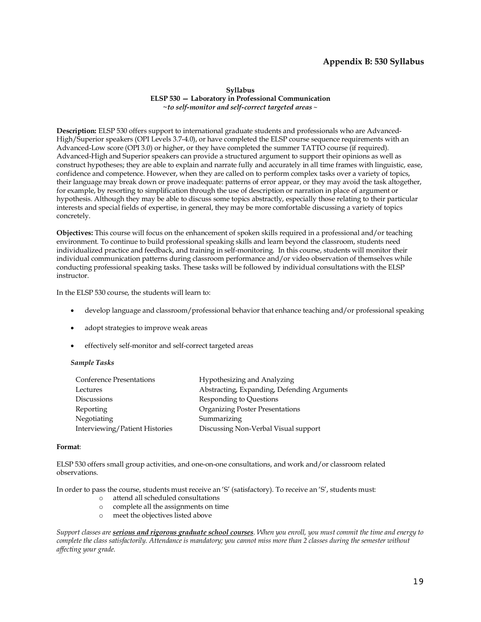## **Appendix B: 530 Syllabus**

**Syllabus ELSP 530 — Laboratory in Professional Communication** *~to self-monitor and self-correct targeted areas ~*

**Description:** ELSP 530 offers support to international graduate students and professionals who are Advanced-High/Superior speakers (OPI Levels 3.7-4.0), or have completed the ELSP course sequence requirements with an Advanced-Low score (OPI 3.0) or higher, or they have completed the summer TATTO course (if required). Advanced-High and Superior speakers can provide a structured argument to support their opinions as well as construct hypotheses; they are able to explain and narrate fully and accurately in all time frames with linguistic, ease, confidence and competence. However, when they are called on to perform complex tasks over a variety of topics, their language may break down or prove inadequate: patterns of error appear, or they may avoid the task altogether, for example, by resorting to simplification through the use of description or narration in place of argument or hypothesis. Although they may be able to discuss some topics abstractly, especially those relating to their particular interests and special fields of expertise, in general, they may be more comfortable discussing a variety of topics concretely.

**Objectives:** This course will focus on the enhancement of spoken skills required in a professional and/or teaching environment. To continue to build professional speaking skills and learn beyond the classroom, students need individualized practice and feedback, and training in self-monitoring. In this course, students will monitor their individual communication patterns during classroom performance and/or video observation of themselves while conducting professional speaking tasks. These tasks will be followed by individual consultations with the ELSP instructor.

In the ELSP 530 course, the students will learn to:

- develop language and classroom/professional behavior that enhance teaching and/or professional speaking
- adopt strategies to improve weak areas
- effectively self-monitor and self-correct targeted areas

#### *Sample Tasks*

| <b>Conference Presentations</b> | Hypothesizing and Analyzing                 |
|---------------------------------|---------------------------------------------|
| Lectures                        | Abstracting, Expanding, Defending Arguments |
| <b>Discussions</b>              | Responding to Questions                     |
| Reporting                       | <b>Organizing Poster Presentations</b>      |
| Negotiating                     | Summarizing                                 |
| Interviewing/Patient Histories  | Discussing Non-Verbal Visual support        |

#### **Format**:

ELSP 530 offers small group activities, and one-on-one consultations, and work and/or classroom related observations.

In order to pass the course, students must receive an 'S' (satisfactory). To receive an 'S', students must:

- o attend all scheduled consultations
- o complete all the assignments on time
- o meet the objectives listed above

*Support classes are serious and rigorous graduate school courses. When you enroll, you must commit the time and energy to complete the class satisfactorily. Attendance is mandatory; you cannot miss more than 2 classes during the semester without affecting your grade.*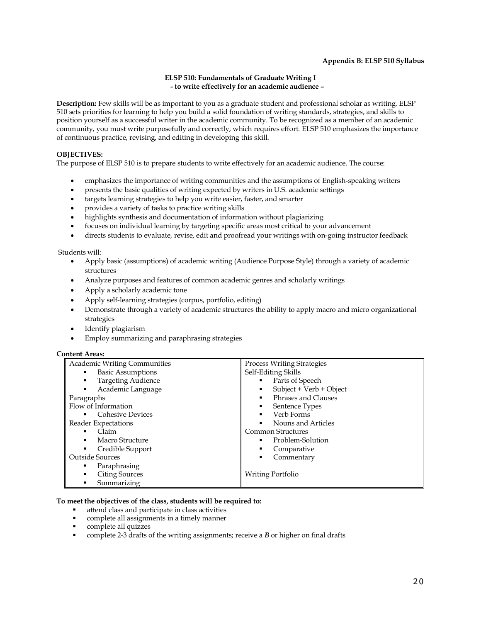#### **Appendix B: ELSP 510 Syllabus**

#### **ELSP 510: Fundamentals of Graduate Writing I - to write effectively for an academic audience –**

**Description:** Few skills will be as important to you as a graduate student and professional scholar as writing. ELSP 510 sets priorities for learning to help you build a solid foundation of writing standards, strategies, and skills to position yourself as a successful writer in the academic community. To be recognized as a member of an academic community, you must write purposefully and correctly, which requires effort. ELSP 510 emphasizes the importance of continuous practice, revising, and editing in developing this skill.

#### **OBJECTIVES:**

The purpose of ELSP 510 is to prepare students to write effectively for an academic audience. The course:

- emphasizes the importance of writing communities and the assumptions of English-speaking writers
- presents the basic qualities of writing expected by writers in U.S. academic settings
- targets learning strategies to help you write easier, faster, and smarter
- provides a variety of tasks to practice writing skills
- highlights synthesis and documentation of information without plagiarizing
- focuses on individual learning by targeting specific areas most critical to your advancement
- directs students to evaluate, revise, edit and proofread your writings with on-going instructor feedback

#### Students will:

- Apply basic (assumptions) of academic writing (Audience Purpose Style) through a variety of academic structures
- Analyze purposes and features of common academic genres and scholarly writings
- Apply a scholarly academic tone
- Apply self-learning strategies (corpus, portfolio, editing)
- Demonstrate through a variety of academic structures the ability to apply macro and micro organizational strategies
- Identify plagiarism
- Employ summarizing and paraphrasing strategies

#### **Content Areas:**

| <b>Academic Writing Communities</b> | <b>Process Writing Strategies</b> |
|-------------------------------------|-----------------------------------|
| <b>Basic Assumptions</b>            | Self-Editing Skills               |
| <b>Targeting Audience</b>           | • Parts of Speech                 |
| Academic Language                   | Subject + Verb + Object<br>٠      |
| Paragraphs                          | Phrases and Clauses               |
| Flow of Information                 | Sentence Types<br>٠               |
| <b>Cohesive Devices</b>             | Verb Forms<br>٠                   |
| Reader Expectations                 | Nouns and Articles<br>٠           |
| Claim                               | <b>Common Structures</b>          |
| Macro Structure                     | Problem-Solution                  |
| Credible Support                    | Comparative<br>٠                  |
| <b>Outside Sources</b>              | Commentary                        |
| Paraphrasing                        |                                   |
| <b>Citing Sources</b><br>٠          | Writing Portfolio                 |
| Summarizing                         |                                   |

#### **To meet the objectives of the class, students will be required to:**

- attend class and participate in class activities
- complete all assignments in a timely manner
- § complete all quizzes
- § complete 2-3 drafts of the writing assignments; receive a *B* or higher on final drafts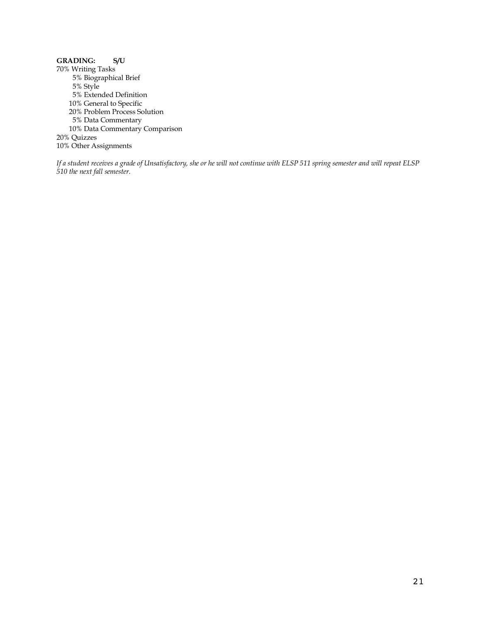## **GRADING: S/U**

70% Writing Tasks 5% Biographical Brief 5% Style 5% Extended Definition 10% General to Specific 20% Problem Process Solution 5% Data Commentary 10% Data Commentary Comparison 20% Quizzes 10% Other Assignments

*If a student receives a grade of Unsatisfactory, she or he will not continue with ELSP 511 spring semester and will repeat ELSP 510 the next fall semester.*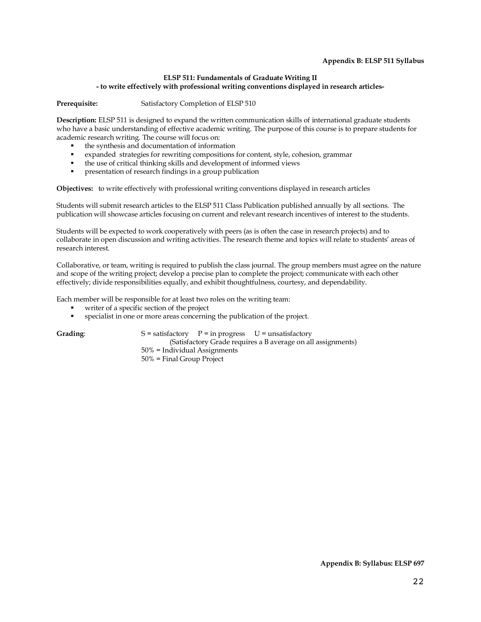#### **Appendix B: ELSP 511 Syllabus**

#### **ELSP 511: Fundamentals of Graduate Writing II - to write effectively with professional writing conventions displayed in research articles-**

Prerequisite: Satisfactory Completion of ELSP 510

**Description:** ELSP 511 is designed to expand the written communication skills of international graduate students who have a basic understanding of effective academic writing. The purpose of this course is to prepare students for academic research writing. The course will focus on:

- the synthesis and documentation of information
- expanded strategies for rewriting compositions for content, style, cohesion, grammar
- § the use of critical thinking skills and development of informed views
- **•** presentation of research findings in a group publication

**Objectives:** to write effectively with professional writing conventions displayed in research articles

Students will submit research articles to the ELSP 511 Class Publication published annually by all sections. The publication will showcase articles focusing on current and relevant research incentives of interest to the students.

Students will be expected to work cooperatively with peers (as is often the case in research projects) and to collaborate in open discussion and writing activities. The research theme and topics will relate to students' areas of research interest.

Collaborative, or team, writing is required to publish the class journal. The group members must agree on the nature and scope of the writing project; develop a precise plan to complete the project; communicate with each other effectively; divide responsibilities equally, and exhibit thoughtfulness, courtesy, and dependability.

Each member will be responsible for at least two roles on the writing team:

- writer of a specific section of the project
- specialist in one or more areas concerning the publication of the project.

Grading: S = satisfactory P = in progress U = unsatisfactory (Satisfactory Grade requires a B average on all assignments) 50% = Individual Assignments 50% = Final Group Project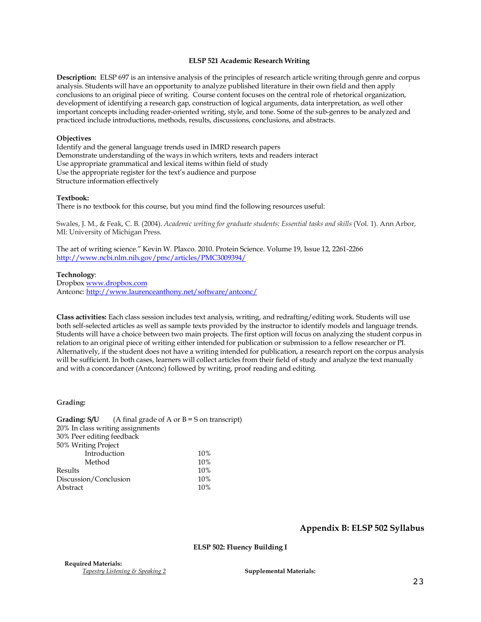#### **ELSP 521 Academic Research Writing**

**Description:** ELSP 697 is an intensive analysis of the principles of research article writing through genre and corpus analysis. Students will have an opportunity to analyze published literature in their own field and then apply conclusions to an original piece of writing. Course content focuses on the central role of rhetorical organization, development of identifying a research gap, construction of logical arguments, data interpretation, as well other important concepts including reader-oriented writing, style, and tone. Some of the sub-genres to be analyzed and practiced include introductions, methods, results, discussions, conclusions, and abstracts.

#### **Objectives**

Identify and the general language trends used in IMRD research papers Demonstrate understanding of the ways in which writers, texts and readers interact Use appropriate grammatical and lexical items within field of study Use the appropriate register for the text's audience and purpose Structure information effectively

#### **Textbook:**

There is no textbook for this course, but you mind find the following resources useful:

Swales, J. M., & Feak, C. B. (2004). *Academic writing for graduate students: Essential tasks and skills* (Vol. 1). Ann Arbor, MI: University of Michigan Press.

The art of writing science." Kevin W. Plaxco. 2010. Protein Science. Volume 19, Issue 12, 2261-2266 http://www.ncbi.nlm.nih.gov/pmc/articles/PMC3009394/

#### **Technology**:

Dropbox www.dropbox.com Antconc: http://www.laurenceanthony.net/software/antconc/

**Class activities:** Each class session includes text analysis, writing, and redrafting/editing work. Students will use both self-selected articles as well as sample texts provided by the instructor to identify models and language trends. Students will have a choice between two main projects. The first option will focus on analyzing the student corpus in relation to an original piece of writing either intended for publication or submission to a fellow researcher or PI. Alternatively, if the student does not have a writing intended for publication, a research report on the corpus analysis will be sufficient. In both cases, learners will collect articles from their field of study and analyze the text manually and with a concordancer (Antconc) followed by writing, proof reading and editing.

#### **Grading:**

|                                  | <b>Grading:</b> $S/U$ (A final grade of A or B = S on transcript) |
|----------------------------------|-------------------------------------------------------------------|
| 20% In class writing assignments |                                                                   |
| 30% Peer editing feedback        |                                                                   |
| 50% Writing Project              |                                                                   |
| Introduction                     | 10%                                                               |
| Method                           | 10%                                                               |
| Results                          | 10%                                                               |
| Discussion/Conclusion            | 10%                                                               |
| Abstract                         | 10%                                                               |

#### **Appendix B: ELSP 502 Syllabus**

**ELSP 502: Fluency Building I**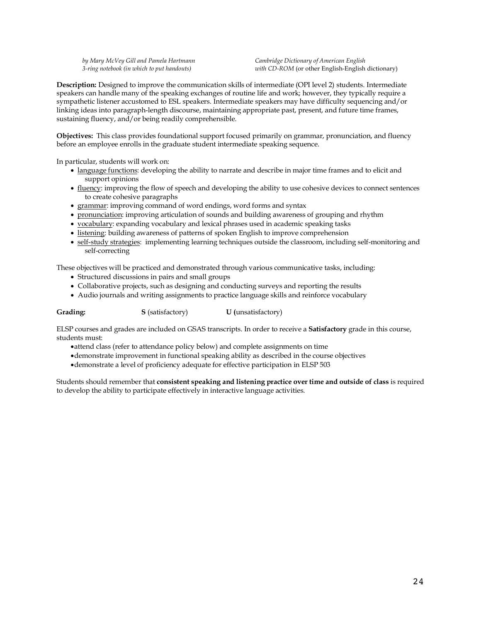*by Mary McVey Gill and Pamela Hartmann 3-ring notebook (in which to put handouts)*

*Cambridge Dictionary of American English with CD-ROM* (or other English-English dictionary)

**Description:** Designed to improve the communication skills of intermediate (OPI level 2) students. Intermediate speakers can handle many of the speaking exchanges of routine life and work; however, they typically require a sympathetic listener accustomed to ESL speakers. Intermediate speakers may have difficulty sequencing and/or linking ideas into paragraph-length discourse, maintaining appropriate past, present, and future time frames, sustaining fluency, and/or being readily comprehensible.

**Objectives:** This class provides foundational support focused primarily on grammar, pronunciation, and fluency before an employee enrolls in the graduate student intermediate speaking sequence.

In particular, students will work on:

- language functions: developing the ability to narrate and describe in major time frames and to elicit and support opinions
- fluency: improving the flow of speech and developing the ability to use cohesive devices to connect sentences to create cohesive paragraphs
- grammar: improving command of word endings, word forms and syntax
- pronunciation: improving articulation of sounds and building awareness of grouping and rhythm
- vocabulary: expanding vocabulary and lexical phrases used in academic speaking tasks
- listening: building awareness of patterns of spoken English to improve comprehension
- self-study strategies: implementing learning techniques outside the classroom, including self-monitoring and self-correcting

These objectives will be practiced and demonstrated through various communicative tasks, including:

- Structured discussions in pairs and small groups
- Collaborative projects, such as designing and conducting surveys and reporting the results
- Audio journals and writing assignments to practice language skills and reinforce vocabulary

**Grading: S** (satisfactory) **U (**unsatisfactory)

ELSP courses and grades are included on GSAS transcripts. In order to receive a **Satisfactory** grade in this course, students must:

- •attend class (refer to attendance policy below) and complete assignments on time
- •demonstrate improvement in functional speaking ability as described in the course objectives
- •demonstrate a level of proficiency adequate for effective participation in ELSP 503

Students should remember that **consistent speaking and listening practice over time and outside of class** is required to develop the ability to participate effectively in interactive language activities.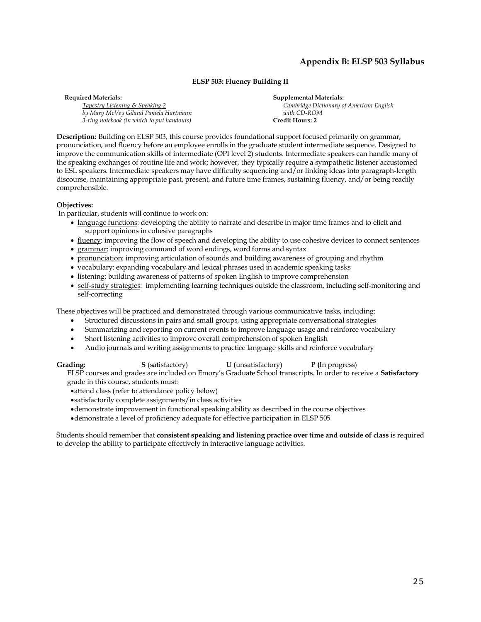## **Appendix B: ELSP 503 Syllabus**

#### **ELSP 503: Fluency Building II**

**Required Materials:** *Tapestry Listening & Speaking 2 by Mary McVey Giland Pamela Hartmann 3-ring notebook (in which to put handouts)*

**Supplemental Materials:** *Cambridge Dictionary of American English with CD-ROM*  **Credit Hours: 2**

**Description:** Building on ELSP 503, this course provides foundational support focused primarily on grammar, pronunciation, and fluency before an employee enrolls in the graduate student intermediate sequence. Designed to improve the communication skills of intermediate (OPI level 2) students. Intermediate speakers can handle many of the speaking exchanges of routine life and work; however, they typically require a sympathetic listener accustomed to ESL speakers. Intermediate speakers may have difficulty sequencing and/or linking ideas into paragraph-length discourse, maintaining appropriate past, present, and future time frames, sustaining fluency, and/or being readily comprehensible.

#### **Objectives:**

In particular, students will continue to work on:

- language functions: developing the ability to narrate and describe in major time frames and to elicit and support opinions in cohesive paragraphs
- fluency: improving the flow of speech and developing the ability to use cohesive devices to connect sentences
- grammar: improving command of word endings, word forms and syntax
- pronunciation: improving articulation of sounds and building awareness of grouping and rhythm
- vocabulary: expanding vocabulary and lexical phrases used in academic speaking tasks
- listening: building awareness of patterns of spoken English to improve comprehension
- self-study strategies: implementing learning techniques outside the classroom, including self-monitoring and self-correcting

These objectives will be practiced and demonstrated through various communicative tasks, including:

- Structured discussions in pairs and small groups, using appropriate conversational strategies
- Summarizing and reporting on current events to improve language usage and reinforce vocabulary
- Short listening activities to improve overall comprehension of spoken English
- •Audio journals and writing assignments to practice language skills and reinforce vocabulary

**Grading: S** (satisfactory) **U (**unsatisfactory) **P (**In progress) ELSP courses and grades are included on Emory's Graduate School transcripts. In order to receive a **Satisfactory**

grade in this course, students must:

- •attend class (refer to attendance policy below)
- •satisfactorily complete assignments/in class activities
- •demonstrate improvement in functional speaking ability as described in the course objectives
- •demonstrate a level of proficiency adequate for effective participation in ELSP 505

Students should remember that **consistent speaking and listening practice over time and outside of class** is required to develop the ability to participate effectively in interactive language activities.